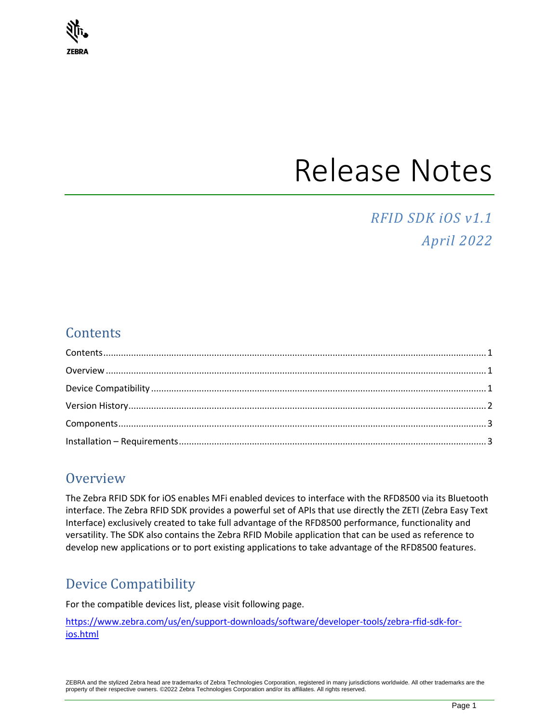

# Release Notes

## *RFID SDK iOS v1.1 April 2022*

## <span id="page-0-0"></span>**Contents**

## <span id="page-0-1"></span>**Overview**

The Zebra RFID SDK for iOS enables MFi enabled devices to interface with the RFD8500 via its Bluetooth interface. The Zebra RFID SDK provides a powerful set of APIs that use directly the ZETI (Zebra Easy Text Interface) exclusively created to take full advantage of the RFD8500 performance, functionality and versatility. The SDK also contains the Zebra RFID Mobile application that can be used as reference to develop new applications or to port existing applications to take advantage of the RFD8500 features.

## <span id="page-0-2"></span>Device Compatibility

For the compatible devices list, please visit following page.

[https://www.zebra.com/us/en/support-downloads/software/developer-tools/zebra-rfid-sdk-for](https://www.zebra.com/us/en/support-downloads/software/developer-tools/zebra-rfid-sdk-for-ios.html)[ios.html](https://www.zebra.com/us/en/support-downloads/software/developer-tools/zebra-rfid-sdk-for-ios.html)

ZEBRA and the stylized Zebra head are trademarks of Zebra Technologies Corporation, registered in many jurisdictions worldwide. All other trademarks are the property of their respective owners. ©2022 Zebra Technologies Corporation and/or its affiliates. All rights reserved.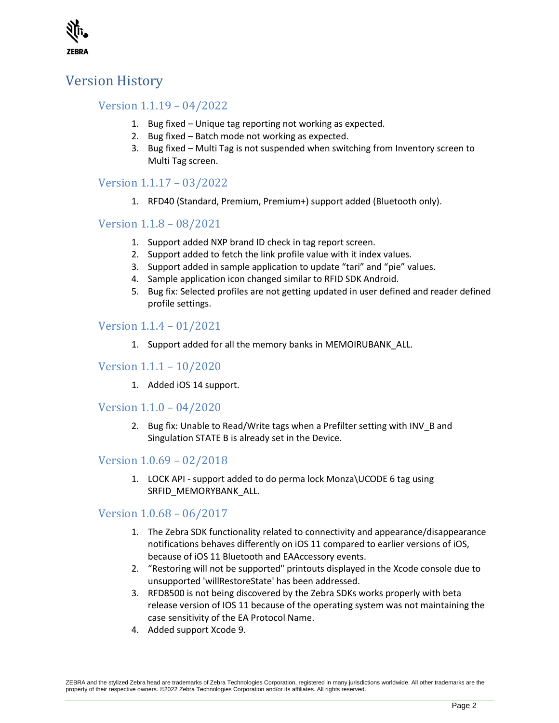

## <span id="page-1-0"></span>Version History

#### Version 1.1.19 – 04/2022

- 1. Bug fixed Unique tag reporting not working as expected.
- 2. Bug fixed Batch mode not working as expected.
- 3. Bug fixed Multi Tag is not suspended when switching from Inventory screen to Multi Tag screen.

#### Version 1.1.17 – 03/2022

1. RFD40 (Standard, Premium, Premium+) support added (Bluetooth only).

#### Version 1.1.8 – 08/2021

- 1. Support added NXP brand ID check in tag report screen.
- 2. Support added to fetch the link profile value with it index values.
- 3. Support added in sample application to update "tari" and "pie" values.
- 4. Sample application icon changed similar to RFID SDK Android.
- 5. Bug fix: Selected profiles are not getting updated in user defined and reader defined profile settings.

#### Version 1.1.4 – 01/2021

1. Support added for all the memory banks in MEMOIRUBANK\_ALL.

#### Version 1.1.1 – 10/2020

1. Added iOS 14 support.

#### Version 1.1.0 – 04/2020

2. Bug fix: Unable to Read/Write tags when a Prefilter setting with INV\_B and Singulation STATE B is already set in the Device.

#### Version 1.0.69 – 02/2018

1. LOCK API - support added to do perma lock Monza\UCODE 6 tag using SRFID\_MEMORYBANK\_ALL.

#### Version 1.0.68 – 06/2017

- 1. The Zebra SDK functionality related to connectivity and appearance/disappearance notifications behaves differently on iOS 11 compared to earlier versions of iOS, because of iOS 11 Bluetooth and EAAccessory events.
- 2. "Restoring will not be supported" printouts displayed in the Xcode console due to unsupported 'willRestoreState' has been addressed.
- 3. RFD8500 is not being discovered by the Zebra SDKs works properly with beta release version of IOS 11 because of the operating system was not maintaining the case sensitivity of the EA Protocol Name.
- 4. Added support Xcode 9.

ZEBRA and the stylized Zebra head are trademarks of Zebra Technologies Corporation, registered in many jurisdictions worldwide. All other trademarks are the property of their respective owners. ©2022 Zebra Technologies Corporation and/or its affiliates. All rights reserved.